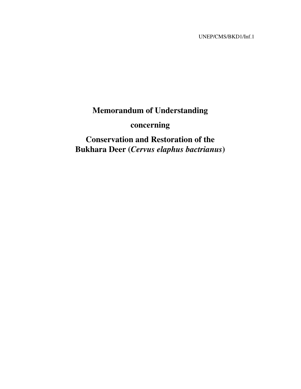UNEP/CMS/BKD1/Inf.1

# **Memorandum of Understanding**

# **concerning**

**Conservation and Restoration of the Bukhara Deer (***Cervus elaphus bactrianus***)**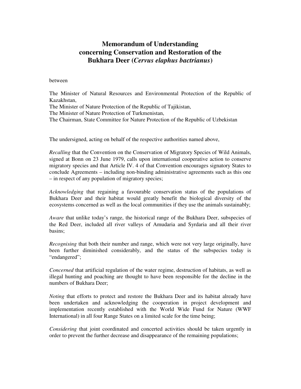## **Memorandum of Understanding concerning Conservation and Restoration of the Bukhara Deer (***Cervus elaphus bactrianus***)**

#### between

The Minister of Natural Resources and Environmental Protection of the Republic of Kazakhstan, The Minister of Nature Protection of the Republic of Tajikistan, The Minister of Nature Protection of Turkmenistan, The Chairman, State Committee for Nature Protection of the Republic of Uzbekistan

The undersigned, acting on behalf of the respective authorities named above,

*Recalling* that the Convention on the Conservation of Migratory Species of Wild Animals, signed at Bonn on 23 June 1979, calls upon international cooperative action to conserve migratory species and that Article IV. 4 of that Convention encourages signatory States to conclude Agreements – including non-binding administrative agreements such as this one – in respect of any population of migratory species;

*Acknowledging* that regaining a favourable conservation status of the populations of Bukhara Deer and their habitat would greatly benefit the biological diversity of the ecosystems concerned as well as the local communities if they use the animals sustainably;

*Aware* that unlike today's range, the historical range of the Bukhara Deer, subspecies of the Red Deer, included all river valleys of Amudaria and Syrdaria and all their river basins;

*Recognising* that both their number and range, which were not very large originally, have been further diminished considerably, and the status of the subspecies today is "endangered";

*Concerned* that artificial regulation of the water regime, destruction of habitats, as well as illegal hunting and poaching are thought to have been responsible for the decline in the numbers of Bukhara Deer;

*Noting* that efforts to protect and restore the Bukhara Deer and its habitat already have been undertaken and acknowledging the cooperation in project development and implementation recently established with the World Wide Fund for Nature (WWF International) in all four Range States on a limited scale for the time being;

*Considering* that joint coordinated and concerted activities should be taken urgently in order to prevent the further decrease and disappearance of the remaining populations;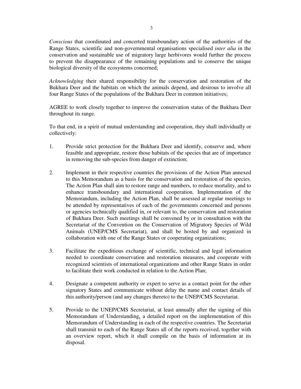*Conscious* that coordinated and concerted transboundary action of the authorities of the Range States, scientific and non-governmental organisations specialised *inter alia* in the conservation and sustainable use of migratory large herbivores would further the process to prevent the disappearance of the remaining populations and to conserve the unique biological diversity of the ecosystems concerned;

*Acknowledging* their shared responsibility for the conservation and restoration of the Bukhara Deer and the habitats on which the animals depend, and desirous to involve all four Range States of the populations of the Bukhara Deer in common initiatives;

AGREE to work closely together to improve the conservation status of the Bukhara Deer throughout its range.

To that end, in a spirit of mutual understanding and cooperation, they shall individually or collectively:

- 1. Provide strict protection for the Bukhara Deer and identify, conserve and, where feasible and appropriate, restore those habitats of the species that are of importance in removing the sub-species from danger of extinction;
- 2. Implement in their respective countries the provisions of the Action Plan annexed to this Memorandum as a basis for the conservation and restoration of the species. The Action Plan shall aim to restore range and numbers, to reduce mortality, and to enhance transboundary and international cooperation. Implementation of the Memorandum, including the Action Plan, shall be assessed at regular meetings to be attended by representatives of each of the governments concerned and persons or agencies technically qualified in, or relevant to, the conservation and restoration of Bukhara Deer. Such meetings shall be convened by or in consultation with the Secretariat of the Convention on the Conservation of Migratory Species of Wild Animals (UNEP/CMS Secretariat), and shall be hosted by and organized in collaboration with one of the Range States or cooperating organizations;
- 3. Facilitate the expeditious exchange of scientific, technical and legal information needed to coordinate conservation and restoration measures, and cooperate with recognized scientists of international organizations and other Range States in order to facilitate their work conducted in relation to the Action Plan;
- 4. Designate a competent authority or expert to serve as a contact point for the other signatory States and communicate without delay the name and contact details of this authority/person (and any changes thereto) to the UNEP/CMS Secretariat.
- 5. Provide to the UNEP/CMS Secretariat, at least annually after the signing of this Memorandum of Understanding, a detailed report on the implementation of this Memorandum of Understanding in each of the respective countries. The Secretariat shall transmit to each of the Range States all of the reports received, together with an overview report, which it shall compile on the basis of information at its disposal.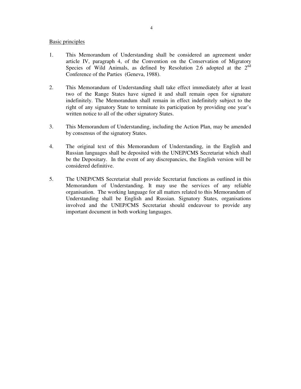### Basic principles

- 1. This Memorandum of Understanding shall be considered an agreement under article IV, paragraph 4, of the Convention on the Conservation of Migratory Species of Wild Animals, as defined by Resolution 2.6 adopted at the  $2<sup>nd</sup>$ Conference of the Parties (Geneva, 1988).
- 2. This Memorandum of Understanding shall take effect immediately after at least two of the Range States have signed it and shall remain open for signature indefinitely. The Memorandum shall remain in effect indefinitely subject to the right of any signatory State to terminate its participation by providing one year's written notice to all of the other signatory States.
- 3. This Memorandum of Understanding, including the Action Plan, may be amended by consensus of the signatory States.
- 4. The original text of this Memorandum of Understanding, in the English and Russian languages shall be deposited with the UNEP/CMS Secretariat which shall be the Depositary. In the event of any discrepancies, the English version will be considered definitive.
- 5. The UNEP/CMS Secretariat shall provide Secretariat functions as outlined in this Memorandum of Understanding. It may use the services of any reliable organisation. The working language for all matters related to this Memorandum of Understanding shall be English and Russian. Signatory States, organisations involved and the UNEP/CMS Secretariat should endeavour to provide any important document in both working languages.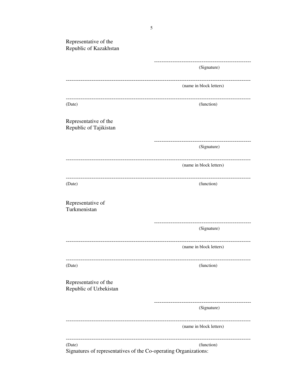| Representative of the<br>Republic of Kazakhstan |                                                              |
|-------------------------------------------------|--------------------------------------------------------------|
|                                                 |                                                              |
|                                                 | (Signature)                                                  |
|                                                 | ---------------------------------<br>(name in block letters) |
| (Date)                                          | -------------------------<br>(function)                      |
| Representative of the<br>Republic of Tajikistan |                                                              |
|                                                 | ---------------------<br>(Signature)                         |
|                                                 | (name in block letters)                                      |
| (Date)                                          | (function)                                                   |
| Representative of<br>Turkmenistan               |                                                              |
|                                                 | ------------------------<br>(Signature)                      |
|                                                 | (name in block letters)                                      |
| (Date)                                          | (function)                                                   |
| Representative of the<br>Republic of Uzbekistan |                                                              |
|                                                 | (Signature)                                                  |
|                                                 | (name in block letters)                                      |
| (Date)                                          | (function)                                                   |

Signatures of representatives of the Co-operating Organizations: